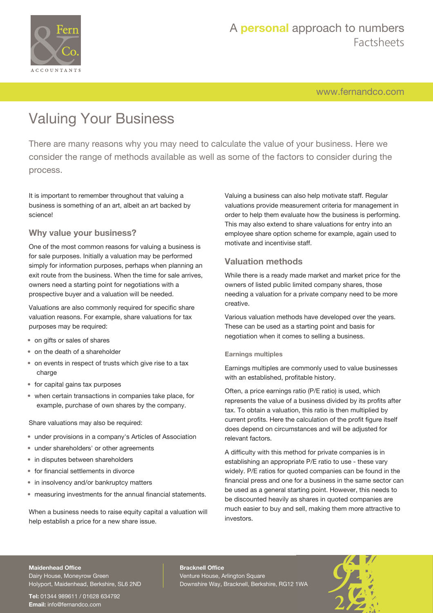

## A **personal** approach to numbers Factsheets

[www.fernandco.com](http://www.fernandco.com)

# Valuing Your Business

There are many reasons why you may need to calculate the value of your business. Here we consider the range of methods available as well as some of the factors to consider during the process.

It is important to remember throughout that valuing a business is something of an art, albeit an art backed by science!

## **Why value your business?**

One of the most common reasons for valuing a business is for sale purposes. Initially a valuation may be performed simply for information purposes, perhaps when planning an exit route from the business. When the time for sale arrives, owners need a starting point for negotiations with a prospective buyer and a valuation will be needed.

Valuations are also commonly required for specific share valuation reasons. For example, share valuations for tax purposes may be required:

- on gifts or sales of shares
- on the death of a shareholder
- on events in respect of trusts which give rise to a tax charge
- for capital gains tax purposes
- when certain transactions in companies take place, for example, purchase of own shares by the company.

Share valuations may also be required:

- under provisions in a company's Articles of Association
- under shareholders' or other agreements
- in disputes between shareholders
- for financial settlements in divorce
- in insolvency and/or bankruptcy matters
- measuring investments for the annual financial statements.

When a business needs to raise equity capital a valuation will help establish a price for a new share issue.

Valuing a business can also help motivate staff. Regular valuations provide measurement criteria for management in order to help them evaluate how the business is performing. This may also extend to share valuations for entry into an employee share option scheme for example, again used to motivate and incentivise staff.

## **Valuation methods**

While there is a ready made market and market price for the owners of listed public limited company shares, those needing a valuation for a private company need to be more creative.

Various valuation methods have developed over the years. These can be used as a starting point and basis for negotiation when it comes to selling a business.

## **Earnings multiples**

Earnings multiples are commonly used to value businesses with an established, profitable history.

Often, a price earnings ratio (P/E ratio) is used, which represents the value of a business divided by its profits after tax. To obtain a valuation, this ratio is then multiplied by current profits. Here the calculation of the profit figure itself does depend on circumstances and will be adjusted for relevant factors.

A difficulty with this method for private companies is in establishing an appropriate P/E ratio to use - these vary widely. P/E ratios for quoted companies can be found in the financial press and one for a business in the same sector can be used as a general starting point. However, this needs to be discounted heavily as shares in quoted companies are much easier to buy and sell, making them more attractive to investors.

## **Maidenhead Office**

Dairy House, Moneyrow Green Holyport, Maidenhead, Berkshire, SL6 2ND

**Tel:** 01344 989611 / 01628 634792 **Email:** [info@fernandco.com](mailto:info@fernandco.com)

**Bracknell Office** Venture House, Arlington Square Downshire Way, Bracknell, Berkshire, RG12 1WA

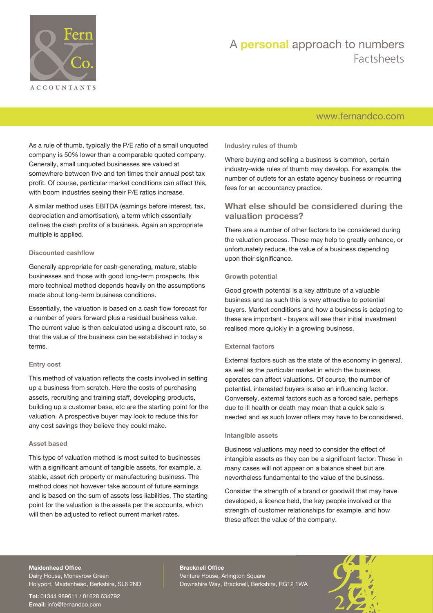

## A **personal** approach to numbers Factsheets

## [www.fernandco.com](http://www.fernandco.com)

As a rule of thumb, typically the P/E ratio of a small unquoted company is 50% lower than a comparable quoted company. Generally, small unquoted businesses are valued at somewhere between five and ten times their annual post tax profit. Of course, particular market conditions can affect this, with boom industries seeing their P/E ratios increase.

A similar method uses EBITDA (earnings before interest, tax, depreciation and amortisation), a term which essentially defines the cash profits of a business. Again an appropriate multiple is applied.

#### **Discounted cashflow**

Generally appropriate for cash-generating, mature, stable businesses and those with good long-term prospects, this more technical method depends heavily on the assumptions made about long-term business conditions.

Essentially, the valuation is based on a cash flow forecast for a number of years forward plus a residual business value. The current value is then calculated using a discount rate, so that the value of the business can be established in today's terms.

## **Entry cost**

This method of valuation reflects the costs involved in setting up a business from scratch. Here the costs of purchasing assets, recruiting and training staff, developing products, building up a customer base, etc are the starting point for the valuation. A prospective buyer may look to reduce this for any cost savings they believe they could make.

## **Asset based**

This type of valuation method is most suited to businesses with a significant amount of tangible assets, for example, a stable, asset rich property or manufacturing business. The method does not however take account of future earnings and is based on the sum of assets less liabilities. The starting point for the valuation is the assets per the accounts, which will then be adjusted to reflect current market rates.

#### **Industry rules of thumb**

Where buying and selling a business is common, certain industry-wide rules of thumb may develop. For example, the number of outlets for an estate agency business or recurring fees for an accountancy practice.

## **What else should be considered during the valuation process?**

There are a number of other factors to be considered during the valuation process. These may help to greatly enhance, or unfortunately reduce, the value of a business depending upon their significance.

#### **Growth potential**

Good growth potential is a key attribute of a valuable business and as such this is very attractive to potential buyers. Market conditions and how a business is adapting to these are important - buyers will see their initial investment realised more quickly in a growing business.

## **External factors**

External factors such as the state of the economy in general, as well as the particular market in which the business operates can affect valuations. Of course, the number of potential, interested buyers is also an influencing factor. Conversely, external factors such as a forced sale, perhaps due to ill health or death may mean that a quick sale is needed and as such lower offers may have to be considered.

## **Intangible assets**

Business valuations may need to consider the effect of intangible assets as they can be a significant factor. These in many cases will not appear on a balance sheet but are nevertheless fundamental to the value of the business.

Consider the strength of a brand or goodwill that may have developed, a licence held, the key people involved or the strength of customer relationships for example, and how these affect the value of the company.

#### **Maidenhead Office**

Dairy House, Moneyrow Green Holyport, Maidenhead, Berkshire, SL6 2ND

**Tel:** 01344 989611 / 01628 634792 **Email:** [info@fernandco.com](mailto:info@fernandco.com)

**Bracknell Office** Venture House, Arlington Square Downshire Way, Bracknell, Berkshire, RG12 1WA